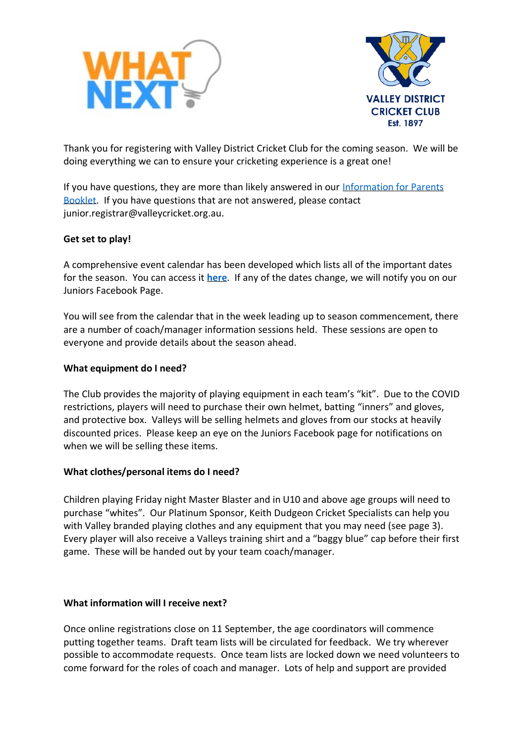



Thank you for registering with Valley District Cricket Club for the coming season. We will be doing everything we can to ensure your cricketing experience is a great one!

If you have questions, they are more than likely answered in our Information for Parents [Booklet.](http://valleydcc.qld.cricket.com.au/files/13720/files/Juniors/2020%20Season/vdcc%20junior%20information%20guide%202020-21.pdf) If you have questions that are not answered, please contact junior.registrar@valleycricket.org.au.

## **Get set to play!**

A comprehensive event calendar has been developed which lists all of the important dates for the season. You can access it **[here](http://valleydcc.qld.cricket.com.au/files/13720/files/Juniors/2020%20Season/junior%20cricket%202020-21%20season%20calendar-1.pdf)**. If any of the dates change, we will notify you on our Juniors Facebook Page.

You will see from the calendar that in the week leading up to season commencement, there are a number of coach/manager information sessions held. These sessions are open to everyone and provide details about the season ahead.

### **What equipment do I need?**

The Club provides the majority of playing equipment in each team's "kit". Due to the COVID restrictions, players will need to purchase their own helmet, batting "inners" and gloves, and protective box. Valleys will be selling helmets and gloves from our stocks at heavily discounted prices. Please keep an eye on the Juniors Facebook page for notifications on when we will be selling these items.

#### **What clothes/personal items do I need?**

Children playing Friday night Master Blaster and in U10 and above age groups will need to purchase "whites". Our Platinum Sponsor, Keith Dudgeon Cricket Specialists can help you with Valley branded playing clothes and any equipment that you may need (see page 3). Every player will also receive a Valleys training shirt and a "baggy blue" cap before their first game. These will be handed out by your team coach/manager.

#### **What information will I receive next?**

Once online registrations close on 11 September, the age coordinators will commence putting together teams. Draft team lists will be circulated for feedback. We try wherever possible to accommodate requests. Once team lists are locked down we need volunteers to come forward for the roles of coach and manager. Lots of help and support are provided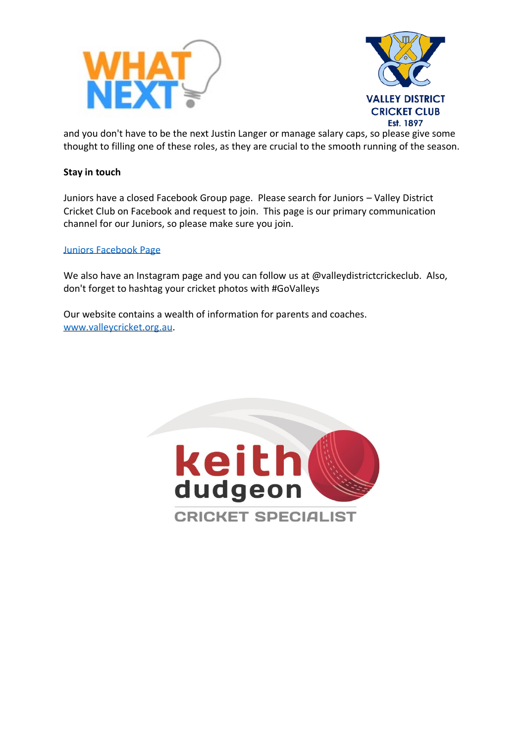



and you don't have to be the next Justin Langer or manage salary caps, so please give some thought to filling one of these roles, as they are crucial to the smooth running of the season.

## **Stay in touch**

Juniors have a closed Facebook Group page. Please search for Juniors – Valley District Cricket Club on Facebook and request to join. This page is our primary communication channel for our Juniors, so please make sure you join.

#### [Juniors Facebook Page](https://www.facebook.com/groups/137022139666952)

We also have an Instagram page and you can follow us at @valleydistrictcrickeclub. Also, don't forget to hashtag your cricket photos with #GoValleys

Our website contains a wealth of information for parents and coaches. [www.valleycricket.org.au.](http://www.valleycricket.org.au/)